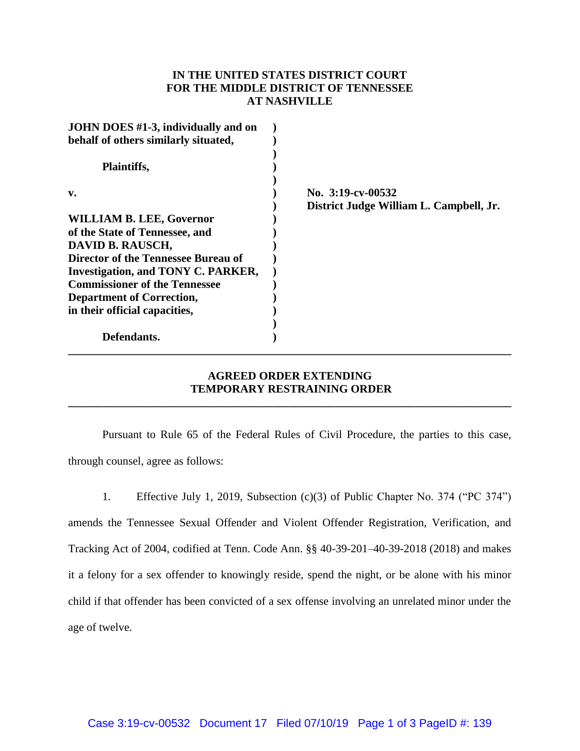## **IN THE UNITED STATES DISTRICT COURT FOR THE MIDDLE DISTRICT OF TENNESSEE AT NASHVILLE**

| JOHN DOES #1-3, individually and on       |                                         |
|-------------------------------------------|-----------------------------------------|
| behalf of others similarly situated,      |                                         |
| Plaintiffs,                               |                                         |
| v.                                        | No. 3:19-cv-00532                       |
|                                           | District Judge William L. Campbell, Jr. |
| <b>WILLIAM B. LEE, Governor</b>           |                                         |
| of the State of Tennessee, and            |                                         |
| DAVID B. RAUSCH,                          |                                         |
| Director of the Tennessee Bureau of       |                                         |
| <b>Investigation, and TONY C. PARKER,</b> |                                         |
| <b>Commissioner of the Tennessee</b>      |                                         |
| <b>Department of Correction,</b>          |                                         |
| in their official capacities,             |                                         |
|                                           |                                         |
| Defendants.                               |                                         |
|                                           |                                         |

## **AGREED ORDER EXTENDING TEMPORARY RESTRAINING ORDER \_\_\_\_\_\_\_\_\_\_\_\_\_\_\_\_\_\_\_\_\_\_\_\_\_\_\_\_\_\_\_\_\_\_\_\_\_\_\_\_\_\_\_\_\_\_\_\_\_\_\_\_\_\_\_\_\_\_\_\_\_\_\_\_\_\_\_\_\_\_\_\_\_\_\_\_\_\_**

Pursuant to Rule 65 of the Federal Rules of Civil Procedure, the parties to this case, through counsel, agree as follows:

1. Effective July 1, 2019, Subsection (c)(3) of Public Chapter No. 374 ("PC 374") amends the Tennessee Sexual Offender and Violent Offender Registration, Verification, and Tracking Act of 2004, codified at Tenn. Code Ann. §§ 40-39-201–40-39-2018 (2018) and makes it a felony for a sex offender to knowingly reside, spend the night, or be alone with his minor child if that offender has been convicted of a sex offense involving an unrelated minor under the age of twelve.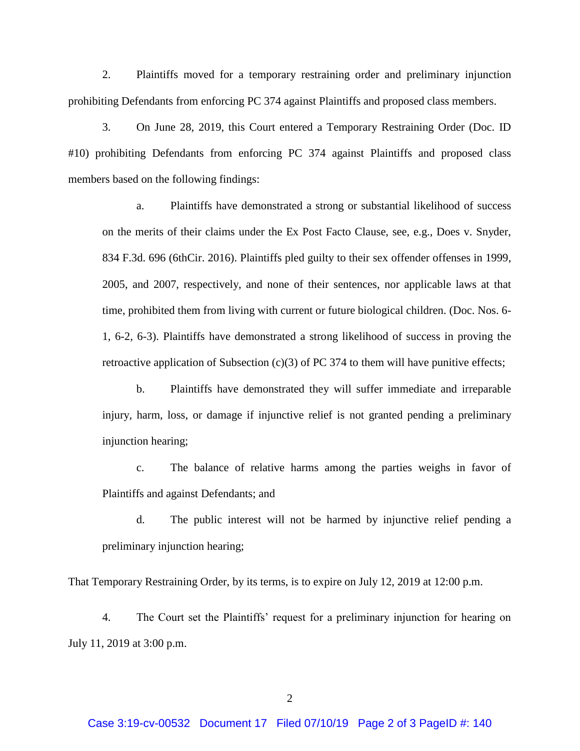2. Plaintiffs moved for a temporary restraining order and preliminary injunction prohibiting Defendants from enforcing PC 374 against Plaintiffs and proposed class members.

3. On June 28, 2019, this Court entered a Temporary Restraining Order (Doc. ID #10) prohibiting Defendants from enforcing PC 374 against Plaintiffs and proposed class members based on the following findings:

a. Plaintiffs have demonstrated a strong or substantial likelihood of success on the merits of their claims under the Ex Post Facto Clause, see, e.g., Does v. Snyder, 834 F.3d. 696 (6thCir. 2016). Plaintiffs pled guilty to their sex offender offenses in 1999, 2005, and 2007, respectively, and none of their sentences, nor applicable laws at that time, prohibited them from living with current or future biological children. (Doc. Nos. 6- 1, 6-2, 6-3). Plaintiffs have demonstrated a strong likelihood of success in proving the retroactive application of Subsection  $(c)(3)$  of PC 374 to them will have punitive effects;

b. Plaintiffs have demonstrated they will suffer immediate and irreparable injury, harm, loss, or damage if injunctive relief is not granted pending a preliminary injunction hearing;

c. The balance of relative harms among the parties weighs in favor of Plaintiffs and against Defendants; and

d. The public interest will not be harmed by injunctive relief pending a preliminary injunction hearing;

That Temporary Restraining Order, by its terms, is to expire on July 12, 2019 at 12:00 p.m.

4. The Court set the Plaintiffs' request for a preliminary injunction for hearing on July 11, 2019 at 3:00 p.m.